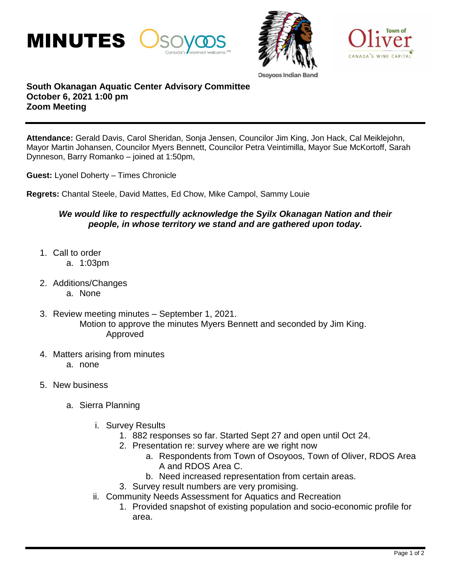





Osovoos India

## **South Okanagan Aquatic Center Advisory Committee October 6, 2021 1:00 pm Zoom Meeting**

**Attendance:** Gerald Davis, Carol Sheridan, Sonja Jensen, Councilor Jim King, Jon Hack, Cal Meiklejohn, Mayor Martin Johansen, Councilor Myers Bennett, Councilor Petra Veintimilla, Mayor Sue McKortoff, Sarah Dynneson, Barry Romanko – joined at 1:50pm,

**Guest:** Lyonel Doherty – Times Chronicle

**Regrets:** Chantal Steele, David Mattes, Ed Chow, Mike Campol, Sammy Louie

## *We would like to respectfully acknowledge the Syilx Okanagan Nation and their people, in whose territory we stand and are gathered upon today.*

- 1. Call to order
	- a. 1:03pm
- 2. Additions/Changes
	- a. None
- 3. Review meeting minutes September 1, 2021. Motion to approve the minutes Myers Bennett and seconded by Jim King. Approved
- 4. Matters arising from minutes
	- a. none
- 5. New business
	- a. Sierra Planning
		- i. Survey Results
			- 1. 882 responses so far. Started Sept 27 and open until Oct 24.
			- 2. Presentation re: survey where are we right now
				- a. Respondents from Town of Osoyoos, Town of Oliver, RDOS Area A and RDOS Area C.
				- b. Need increased representation from certain areas.
			- 3. Survey result numbers are very promising.
		- ii. Community Needs Assessment for Aquatics and Recreation
			- 1. Provided snapshot of existing population and socio-economic profile for area.